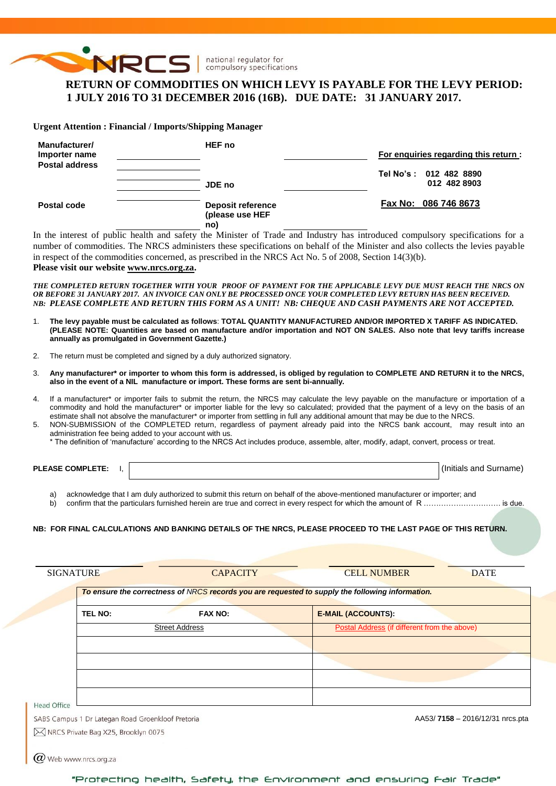

# **RETURN OF COMMODITIES ON WHICH LEVY IS PAYABLE FOR THE LEVY PERIOD: 1 JULY 2016 TO 31 DECEMBER 2016 (16B). DUE DATE: 31 JANUARY 2017.**

**Urgent Attention : Financial / Imports/Shipping Manager**

| Manufacturer/<br>Importer name<br><b>Postal address</b> | <b>HEF</b> no                                      | For enguiries regarding this return :  |
|---------------------------------------------------------|----------------------------------------------------|----------------------------------------|
|                                                         | JDE no                                             | Tel No's: 012 482 8890<br>012 482 8903 |
| Postal code                                             | <b>Deposit reference</b><br>(please use HEF<br>no) | Fax No: 086 746 8673                   |

In the interest of public health and safety the Minister of Trade and Industry has introduced compulsory specifications for a number of commodities. The NRCS administers these specifications on behalf of the Minister and also collects the levies payable in respect of the commodities concerned, as prescribed in the NRCS Act No. 5 of 2008, Section 14(3)(b).

#### **Please visit our websit[e www.nrcs.org.za.](http://www.nrcs.org.za/)**

*THE COMPLETED RETURN TOGETHER WITH YOUR PROOF OF PAYMENT FOR THE APPLICABLE LEVY DUE MUST REACH THE NRCS ON OR BEFORE 31 JANUARY 2017. AN INVOICE CAN ONLY BE PROCESSED ONCE YOUR COMPLETED LEVY RETURN HAS BEEN RECEIVED. NB: PLEASE COMPLETE AND RETURN THIS FORM AS A UNIT! NB: CHEQUE AND CASH PAYMENTS ARE NOT ACCEPTED.*

- 1. **The levy payable must be calculated as follows**: **TOTAL QUANTITY MANUFACTURED AND/OR IMPORTED X TARIFF AS INDICATED. (PLEASE NOTE: Quantities are based on manufacture and/or importation and NOT ON SALES. Also note that levy tariffs increase annually as promulgated in Government Gazette.)**
- 2. The return must be completed and signed by a duly authorized signatory.
- 3. **Any manufacturer\* or importer to whom this form is addressed, is obliged by regulation to COMPLETE AND RETURN it to the NRCS, also in the event of a NIL manufacture or import. These forms are sent bi-annually.**
- 4. If a manufacturer\* or importer fails to submit the return, the NRCS may calculate the levy payable on the manufacture or importation of a commodity and hold the manufacturer\* or importer liable for the levy so calculated; provided that the payment of a levy on the basis of an estimate shall not absolve the manufacturer\* or importer from settling in full any additional amount that may be due to the NRCS.
- 5. NON-SUBMISSION of the COMPLETED return, regardless of payment already paid into the NRCS bank account, may result into an administration fee being added to your account with us.
	- \* The definition of 'manufacture' according to the NRCS Act includes produce, assemble, alter, modify, adapt, convert, process or treat.

| <b>PLEASE COMPLETE:</b> | l (Initials and Surname) |
|-------------------------|--------------------------|
|                         |                          |

- a) acknowledge that I am duly authorized to submit this return on behalf of the above-mentioned manufacturer or importer; and
- b) confirm that the particulars furnished herein are true and correct in every respect for which the amount of R …………………………………… is due.

#### **NB: FOR FINAL CALCULATIONS AND BANKING DETAILS OF THE NRCS, PLEASE PROCEED TO THE LAST PAGE OF THIS RETURN.**

|                                                                         |                       | To ensure the correctness of NRCS records you are requested to supply the following information. |
|-------------------------------------------------------------------------|-----------------------|--------------------------------------------------------------------------------------------------|
| TEL NO:                                                                 | <b>FAX NO:</b>        | <b>E-MAIL (ACCOUNTS):</b>                                                                        |
|                                                                         | <b>Street Address</b> | Postal Address (if different from the above)                                                     |
|                                                                         |                       |                                                                                                  |
|                                                                         |                       |                                                                                                  |
|                                                                         |                       |                                                                                                  |
|                                                                         |                       |                                                                                                  |
| <b>Head Office</b><br>SABS Campus 1 Dr Lategan Road Groenkloof Pretoria |                       | AA53/7158 - 2016/12/31 nrcs.pta                                                                  |
| M NRCS Private Bag X25, Brooklyn 0075                                   |                       |                                                                                                  |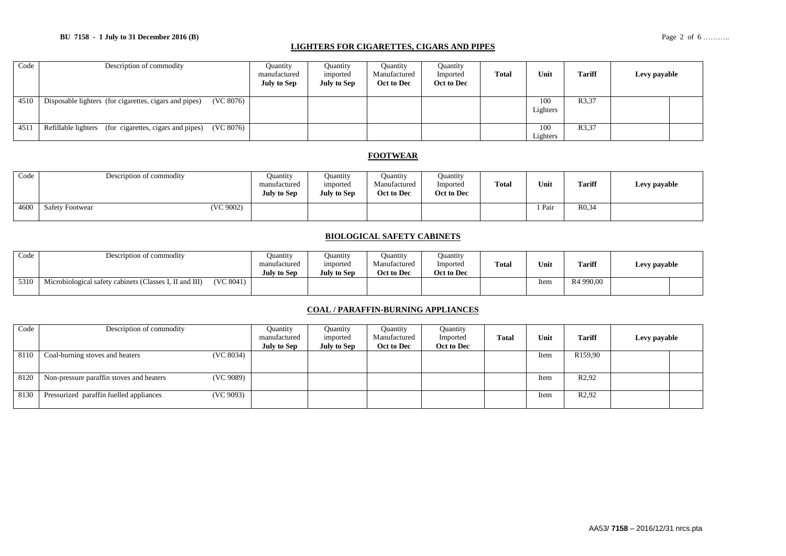#### **BU 7158 - 1 July to 31 December 2016 (B)** Page 2 of 6 ………..

#### **LIGHTERS FOR CIGARETTES, CIGARS AND PIPES**

| Code | Description of commodity                                            | <b>Quantity</b><br>manufactured<br><b>July to Sep</b> | Ouantity<br>imported<br>July to Sep | <b>Quantity</b><br>Manufactured<br>Oct to Dec | Quantity<br>Imported<br>Oct to Dec | Total | Unit            | <b>Tariff</b> | Levy payable |
|------|---------------------------------------------------------------------|-------------------------------------------------------|-------------------------------------|-----------------------------------------------|------------------------------------|-------|-----------------|---------------|--------------|
| 4510 | (VC 8076)<br>Disposable lighters (for cigarettes, cigars and pipes) |                                                       |                                     |                                               |                                    |       | 100<br>Lighters | R3,37         |              |
| 4511 | Refillable lighters (for cigarettes, cigars and pipes)<br>(VC 8076) |                                                       |                                     |                                               |                                    |       | 100<br>Lighters | R3,37         |              |

#### **FOOTWEAR**

| Code | Description of commodity            | Quantity<br>manufactured<br><b>July to Sep</b> | Ouantity<br>imported<br><b>July to Sep</b> | Ouantity<br>Manufactured<br>Oct to Dec | <b>Quantity</b><br>Imported<br>Oct to Dec | <b>Total</b> | Unit | <b>Tariff</b>       | Levy payable |
|------|-------------------------------------|------------------------------------------------|--------------------------------------------|----------------------------------------|-------------------------------------------|--------------|------|---------------------|--------------|
| 4600 | (VC 9002)<br><b>Safety Footwear</b> |                                                |                                            |                                        |                                           |              | Pair | R <sub>0</sub> , 34 |              |

### **BIOLOGICAL SAFETY CABINETS**

| Code | Description of commodity                                |           | <b>Duantity</b><br>manufactured<br>July to Sep | Ouantity<br>imported<br>July to Sep | Ouantity<br>Manufactured<br>Oct to Dec | Ouantity<br>Imported<br>Oct to Dec | <b>Total</b> | Unit | <b>Tariff</b> | Levy payable |  |
|------|---------------------------------------------------------|-----------|------------------------------------------------|-------------------------------------|----------------------------------------|------------------------------------|--------------|------|---------------|--------------|--|
| 5310 | Microbiological safety cabinets (Classes I, II and III) | (VC 8041) |                                                |                                     |                                        |                                    |              | Item | R4 990,00     |              |  |

#### **COAL / PARAFFIN-BURNING APPLIANCES**

| Code | Description of commodity                              | Ouantity<br>manufactured | Ouantity<br>imported | Ouantity<br>Manufactured | Quantity<br>Imported | Total | Unit | <b>Tariff</b>       | Levy payable |  |
|------|-------------------------------------------------------|--------------------------|----------------------|--------------------------|----------------------|-------|------|---------------------|--------------|--|
|      |                                                       | <b>July to Sep</b>       | <b>July to Sep</b>   | Oct to Dec               | Oct to Dec           |       |      |                     |              |  |
| 8110 | (VC 8034)<br>Coal-burning stoves and heaters          |                          |                      |                          |                      |       | Item | R <sub>159,90</sub> |              |  |
|      |                                                       |                          |                      |                          |                      |       |      |                     |              |  |
| 8120 | Non-pressure paraffin stoves and heaters<br>(VC 9089) |                          |                      |                          |                      |       | Item | R <sub>2</sub> ,92  |              |  |
| 8130 | (VC 9093)<br>Pressurized paraffin fuelled appliances  |                          |                      |                          |                      |       | Item | R <sub>2</sub> ,92  |              |  |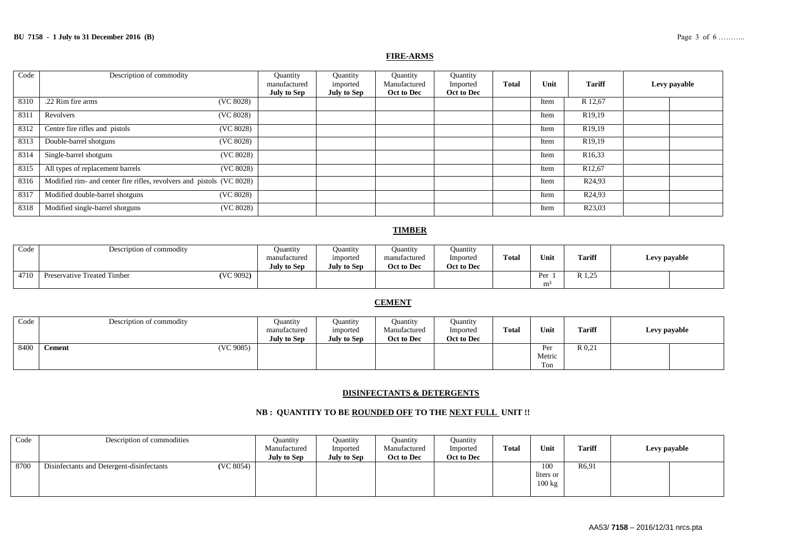#### **FIRE-ARMS**

| Code | Description of commodity                                              | Quantity<br>manufactured<br><b>July to Sep</b> | Quantity<br>imported<br><b>July to Sep</b> | Quantity<br>Manufactured<br>Oct to Dec | Quantity<br>Imported<br>Oct to Dec | <b>Total</b> | Unit | <b>Tariff</b>       | Levy payable |
|------|-----------------------------------------------------------------------|------------------------------------------------|--------------------------------------------|----------------------------------------|------------------------------------|--------------|------|---------------------|--------------|
| 8310 | .22 Rim fire arms<br>(VC 8028)                                        |                                                |                                            |                                        |                                    |              | Item | R 12.67             |              |
| 831  | (VC 8028)<br>Revolvers                                                |                                                |                                            |                                        |                                    |              | Item | R <sub>19</sub> ,19 |              |
| 8312 | Centre fire rifles and pistols<br>(VC 8028)                           |                                                |                                            |                                        |                                    |              | Item | R <sub>19</sub> ,19 |              |
| 8313 | Double-barrel shotguns<br>(VC 8028)                                   |                                                |                                            |                                        |                                    |              | Item | R <sub>19</sub> ,19 |              |
| 8314 | Single-barrel shotguns<br>(VC 8028)                                   |                                                |                                            |                                        |                                    |              | Item | R <sub>16</sub> ,33 |              |
| 8315 | All types of replacement barrels<br>(VC 8028)                         |                                                |                                            |                                        |                                    |              | Item | R <sub>12</sub> ,67 |              |
| 8316 | Modified rim- and center fire rifles, revolvers and pistols (VC 8028) |                                                |                                            |                                        |                                    |              | Item | R <sub>24</sub> ,93 |              |
| 8317 | Modified double-barrel shotguns<br>(VC 8028)                          |                                                |                                            |                                        |                                    |              | Item | R <sub>24,93</sub>  |              |
| 8318 | Modified single-barrel shotguns<br>(VC 8028)                          |                                                |                                            |                                        |                                    |              | Item | R23,03              |              |

#### **TIMBER**

| Code | Description of commodity                 | Ouantity<br>manufactured<br><b>July to Sep</b> | Ouantity<br><i>mported</i><br><b>July to Sep</b> | <b>Ouantity</b><br>manufactured<br>Oct to Dec | <b>Ouantity</b><br>Imported<br>Oct to Dec | <b>Total</b> | Unit                  | <b>Tariff</b>              | Levy payable |
|------|------------------------------------------|------------------------------------------------|--------------------------------------------------|-----------------------------------------------|-------------------------------------------|--------------|-----------------------|----------------------------|--------------|
| 4710 | (VC 9092)<br>Preservative Treated Timber |                                                |                                                  |                                               |                                           |              | Per<br>m <sup>3</sup> | $\gamma$<br>D 1<br>11 1.20 |              |

## **CEMENT**

| Code | Description of commodity   | Ouantity<br>manufactured<br><b>July to Sep</b> | Ouantity<br>imported<br><b>July to Sep</b> | <b>Quantity</b><br>Manufactured<br>Oct to Dec | Ouantity<br>Imported<br>Oct to Dec | <b>Total</b> | Unit                 | <b>Tariff</b> | Levy payable |
|------|----------------------------|------------------------------------------------|--------------------------------------------|-----------------------------------------------|------------------------------------|--------------|----------------------|---------------|--------------|
| 8400 | (VC 9085)<br><b>Cement</b> |                                                |                                            |                                               |                                    |              | Per<br>Metric<br>Ton | R 0.21        |              |

#### **DISINFECTANTS & DETERGENTS**

#### **NB : QUANTITY TO BE ROUNDED OFF TO THE NEXT FULL UNIT !!**

| Code | Description of commodities                             | Quantity<br>Manufactured<br>July to Sep | <b>Quantity</b><br>Imported<br>July to Sep | <b>Quantity</b><br>Manufactured<br>Oct to Dec | Ouantity<br>Imported<br>Oct to Dec | <b>Total</b> | Unit                                 | <b>Tariff</b> | Levy payable |  |
|------|--------------------------------------------------------|-----------------------------------------|--------------------------------------------|-----------------------------------------------|------------------------------------|--------------|--------------------------------------|---------------|--------------|--|
| 8700 | (VC 8054)<br>Disinfectants and Detergent-disinfectants |                                         |                                            |                                               |                                    |              | 100<br>liters or<br>$100 \text{ kg}$ | R6.91         |              |  |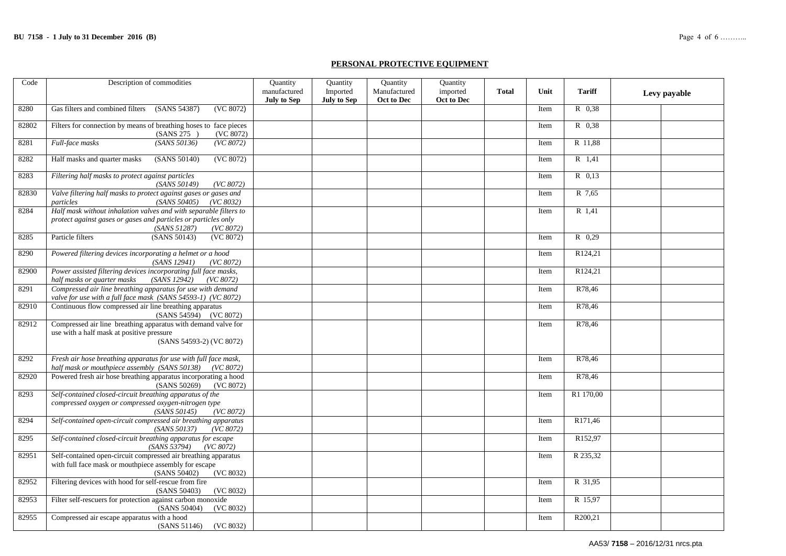#### **PERSONAL PROTECTIVE EQUIPMENT**

| Code  | Description of commodities                                                                                                                                       | <b>Ouantity</b>             | Quantity                       | Quantity                   | Quantity               |              |      |               |              |
|-------|------------------------------------------------------------------------------------------------------------------------------------------------------------------|-----------------------------|--------------------------------|----------------------------|------------------------|--------------|------|---------------|--------------|
|       |                                                                                                                                                                  | manufactured<br>July to Sep | Imported<br><b>July to Sep</b> | Manufactured<br>Oct to Dec | imported<br>Oct to Dec | <b>Total</b> | Unit | <b>Tariff</b> | Levy payable |
| 8280  | Gas filters and combined filters<br>(SANS 54387)<br>(VC 8072)                                                                                                    |                             |                                |                            |                        |              | Item | R 0.38        |              |
| 82802 | Filters for connection by means of breathing hoses to face pieces<br>(VC 8072)<br>(SANS 275)                                                                     |                             |                                |                            |                        |              | Item | R 0.38        |              |
| 8281  | (SANS 50136)<br>Full-face masks<br>(VC 8072)                                                                                                                     |                             |                                |                            |                        |              | Item | R 11,88       |              |
| 8282  | Half masks and quarter masks<br>(SANS 50140)<br>(VC 8072)                                                                                                        |                             |                                |                            |                        |              | Item | R 1,41        |              |
| 8283  | Filtering half masks to protect against particles<br>(SANS 50149)<br>(VC 8072)                                                                                   |                             |                                |                            |                        |              | Item | R 0.13        |              |
| 82830 | Valve filtering half masks to protect against gases or gases and<br>particles<br>(SANS 50405)<br>(VC 8032)                                                       |                             |                                |                            |                        |              | Item | R 7,65        |              |
| 8284  | Half mask without inhalation valves and with separable filters to<br>protect against gases or gases and particles or particles only<br>(SANS 51287)<br>(VC 8072) |                             |                                |                            |                        |              | Item | R 1,41        |              |
| 8285  | Particle filters<br>(SANS 50143)<br>(VC 8072)                                                                                                                    |                             |                                |                            |                        |              | Item | $R$ 0,29      |              |
| 8290  | Powered filtering devices incorporating a helmet or a hood<br>(SANS 12941)<br>(VC 8072)                                                                          |                             |                                |                            |                        |              | Item | R124,21       |              |
| 82900 | Power assisted filtering devices incorporating full face masks,<br>(SANS 12942)<br>half masks or quarter masks<br>(VC 8072)                                      |                             |                                |                            |                        |              | Item | R124,21       |              |
| 8291  | Compressed air line breathing apparatus for use with demand<br>valve for use with a full face mask (SANS 54593-1) (VC 8072)                                      |                             |                                |                            |                        |              | Item | R78.46        |              |
| 82910 | Continuous flow compressed air line breathing apparatus<br>(SANS 54594) (VC 8072)                                                                                |                             |                                |                            |                        |              | Item | R78.46        |              |
| 82912 | Compressed air line breathing apparatus with demand valve for<br>use with a half mask at positive pressure<br>(SANS 54593-2) (VC 8072)                           |                             |                                |                            |                        |              | Item | R78.46        |              |
| 8292  | Fresh air hose breathing apparatus for use with full face mask,<br>half mask or mouthpiece assembly (SANS 50138) (VC 8072)                                       |                             |                                |                            |                        |              | Item | R78,46        |              |
| 82920 | Powered fresh air hose breathing apparatus incorporating a hood<br>(SANS 50269)<br>(VC 8072)                                                                     |                             |                                |                            |                        |              | Item | R78.46        |              |
| 8293  | Self-contained closed-circuit breathing apparatus of the<br>compressed oxygen or compressed oxygen-nitrogen type<br>(SANS 50145)<br>(VC 8072)                    |                             |                                |                            |                        |              | Item | R1 170,00     |              |
| 8294  | Self-contained open-circuit compressed air breathing apparatus<br>(SANS 50137)<br>(VC 8072)                                                                      |                             |                                |                            |                        |              | Item | R171.46       |              |
| 8295  | Self-contained closed-circuit breathing apparatus for escape<br>(SANS 53794)<br>(VC 8072)                                                                        |                             |                                |                            |                        |              | Item | R152,97       |              |
| 82951 | Self-contained open-circuit compressed air breathing apparatus<br>with full face mask or mouthpiece assembly for escape<br>(SANS 50402)<br>(VC 8032)             |                             |                                |                            |                        |              | Item | R 235,32      |              |
| 82952 | Filtering devices with hood for self-rescue from fire<br>(SANS 50403)<br>(VC 8032)                                                                               |                             |                                |                            |                        |              | Item | R 31,95       |              |
| 82953 | Filter self-rescuers for protection against carbon monoxide<br>(SANS 50404)<br>(VC 8032)                                                                         |                             |                                |                            |                        |              | Item | R 15,97       |              |
| 82955 | Compressed air escape apparatus with a hood<br>(SANS 51146) (VC 8032)                                                                                            |                             |                                |                            |                        |              | Item | R200,21       |              |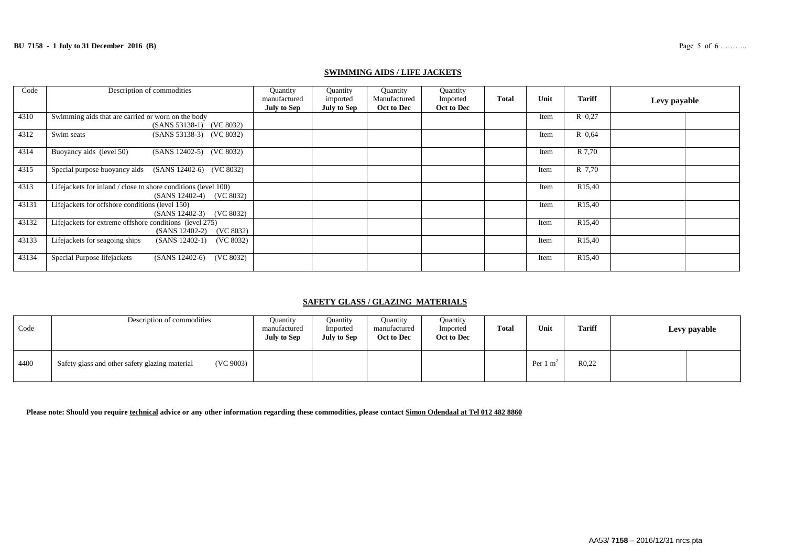| Code  | Description of commodities                                                                 | Quantity<br>manufactured<br>July to Sep | Quantity<br>imported<br><b>July to Sep</b> | Quantity<br>Manufactured<br>Oct to Dec | Quantity<br>Imported<br>Oct to Dec | <b>Total</b> | Unit | <b>Tariff</b>       | Levy payable |
|-------|--------------------------------------------------------------------------------------------|-----------------------------------------|--------------------------------------------|----------------------------------------|------------------------------------|--------------|------|---------------------|--------------|
| 4310  | Swimming aids that are carried or worn on the body<br>(SANS 53138-1) (VC 8032)             |                                         |                                            |                                        |                                    |              | Item | R 0.27              |              |
| 4312  | Swim seats<br>(SANS 53138-3) (VC 8032)                                                     |                                         |                                            |                                        |                                    |              | Item | R 0.64              |              |
| 4314  | Buoyancy aids (level 50)<br>(SANS 12402-5) (VC 8032)                                       |                                         |                                            |                                        |                                    |              | Item | R 7,70              |              |
| 4315  | Special purpose buoyancy aids (SANS 12402-6) (VC 8032)                                     |                                         |                                            |                                        |                                    |              | Item | R 7.70              |              |
| 4313  | Lifejackets for inland / close to shore conditions (level 100)<br>(SANS 12402-4) (VC 8032) |                                         |                                            |                                        |                                    |              | Item | R <sub>15</sub> ,40 |              |
| 43131 | Lifejackets for offshore conditions (level 150)<br>$(SANS 12402-3)$ $(VC 8032)$            |                                         |                                            |                                        |                                    |              | Item | R <sub>15</sub> ,40 |              |
| 43132 | Lifejackets for extreme offshore conditions (level 275)<br>(VC 8032)<br>(SANS 12402-2)     |                                         |                                            |                                        |                                    |              | Item | R <sub>15</sub> ,40 |              |
| 43133 | Lifejackets for seagoing ships<br>$(SANS 12402-1)$<br>(VC 8032)                            |                                         |                                            |                                        |                                    |              | Item | R <sub>15</sub> ,40 |              |
| 43134 | Special Purpose lifejackets<br>(VC 8032)<br>$(SANS 12402-6)$                               |                                         |                                            |                                        |                                    |              | Item | R <sub>15</sub> ,40 |              |

#### **SWIMMING AIDS / LIFE JACKETS**

# **SAFETY GLASS / GLAZING MATERIALS**

| Code | Description of commodities                                  | <b>Quantity</b><br>manufactured<br><b>July to Sep</b> | Ouantity<br>Imported<br><b>July to Sep</b> | <b>Quantity</b><br>manufactured<br>Oct to Dec | <b>Ouantity</b><br>Imported<br>Oct to Dec | Total | Unit                | <b>Tariff</b> | Levy payable |
|------|-------------------------------------------------------------|-------------------------------------------------------|--------------------------------------------|-----------------------------------------------|-------------------------------------------|-------|---------------------|---------------|--------------|
| 4400 | (VC 9003)<br>Safety glass and other safety glazing material |                                                       |                                            |                                               |                                           |       | Per $1 \text{ m}^2$ | R0,22         |              |

**Please note: Should you require technical advice or any other information regarding these commodities, please contact Simon Odendaal at Tel 012 482 8860**